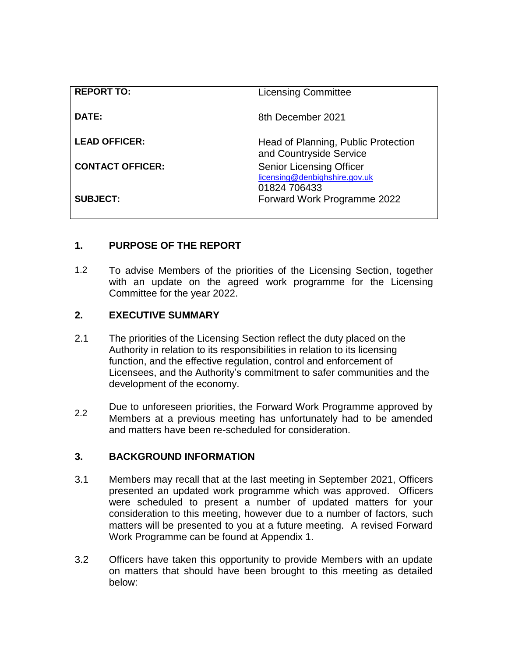| <b>REPORT TO:</b>       | <b>Licensing Committee</b>                                                       |
|-------------------------|----------------------------------------------------------------------------------|
| DATE:                   | 8th December 2021                                                                |
| <b>LEAD OFFICER:</b>    | Head of Planning, Public Protection<br>and Countryside Service                   |
| <b>CONTACT OFFICER:</b> | <b>Senior Licensing Officer</b><br>licensing@denbighshire.gov.uk<br>01824 706433 |
| <b>SUBJECT:</b>         | Forward Work Programme 2022                                                      |

# **1. PURPOSE OF THE REPORT**

1.2 To advise Members of the priorities of the Licensing Section, together with an update on the agreed work programme for the Licensing Committee for the year 2022.

### **2. EXECUTIVE SUMMARY**

- 2.1 The priorities of the Licensing Section reflect the duty placed on the Authority in relation to its responsibilities in relation to its licensing function, and the effective regulation, control and enforcement of Licensees, and the Authority's commitment to safer communities and the development of the economy.
- 2.2 Due to unforeseen priorities, the Forward Work Programme approved by Members at a previous meeting has unfortunately had to be amended and matters have been re-scheduled for consideration.

#### **3. BACKGROUND INFORMATION**

- 3.1 Members may recall that at the last meeting in September 2021, Officers presented an updated work programme which was approved. Officers were scheduled to present a number of updated matters for your consideration to this meeting, however due to a number of factors, such matters will be presented to you at a future meeting. A revised Forward Work Programme can be found at Appendix 1.
- 3.2 Officers have taken this opportunity to provide Members with an update on matters that should have been brought to this meeting as detailed below: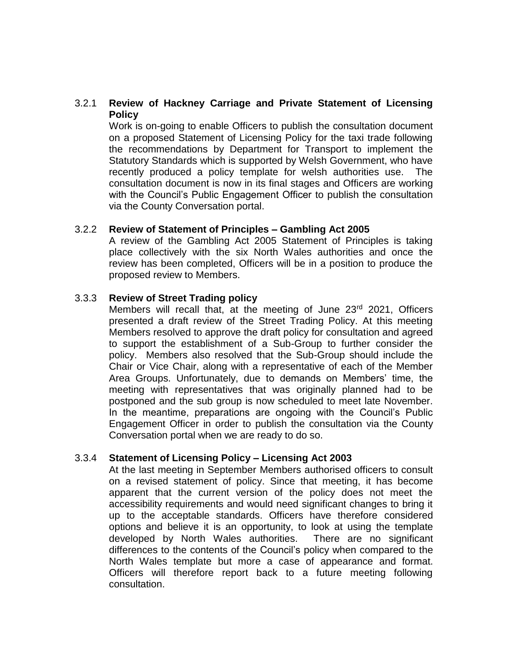### 3.2.1 **Review of Hackney Carriage and Private Statement of Licensing Policy**

Work is on-going to enable Officers to publish the consultation document on a proposed Statement of Licensing Policy for the taxi trade following the recommendations by Department for Transport to implement the Statutory Standards which is supported by Welsh Government, who have recently produced a policy template for welsh authorities use. The consultation document is now in its final stages and Officers are working with the Council's Public Engagement Officer to publish the consultation via the County Conversation portal.

#### 3.2.2 **Review of Statement of Principles – Gambling Act 2005**

A review of the Gambling Act 2005 Statement of Principles is taking place collectively with the six North Wales authorities and once the review has been completed, Officers will be in a position to produce the proposed review to Members.

#### 3.3.3 **Review of Street Trading policy**

Members will recall that, at the meeting of June  $23<sup>rd</sup>$  2021, Officers presented a draft review of the Street Trading Policy. At this meeting Members resolved to approve the draft policy for consultation and agreed to support the establishment of a Sub-Group to further consider the policy. Members also resolved that the Sub-Group should include the Chair or Vice Chair, along with a representative of each of the Member Area Groups. Unfortunately, due to demands on Members' time, the meeting with representatives that was originally planned had to be postponed and the sub group is now scheduled to meet late November. In the meantime, preparations are ongoing with the Council's Public Engagement Officer in order to publish the consultation via the County Conversation portal when we are ready to do so.

#### 3.3.4 **Statement of Licensing Policy – Licensing Act 2003**

At the last meeting in September Members authorised officers to consult on a revised statement of policy. Since that meeting, it has become apparent that the current version of the policy does not meet the accessibility requirements and would need significant changes to bring it up to the acceptable standards. Officers have therefore considered options and believe it is an opportunity, to look at using the template developed by North Wales authorities. There are no significant differences to the contents of the Council's policy when compared to the North Wales template but more a case of appearance and format. Officers will therefore report back to a future meeting following consultation.